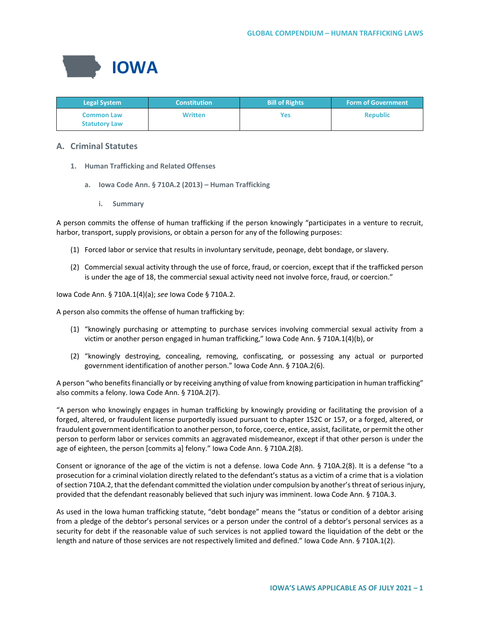

| <b>Legal System</b>                       | <b>Constitution</b> | <b>Bill of Rights</b> | <b>Form of Government</b> |
|-------------------------------------------|---------------------|-----------------------|---------------------------|
| <b>Common Law</b><br><b>Statutory Law</b> | <b>Written</b>      | Yes                   | <b>Republic</b>           |

# **A. Criminal Statutes**

- **1. Human Trafficking and Related Offenses**
	- **a. Iowa Code Ann. § 710A.2 (2013) – Human Trafficking**
		- **i. Summary**

A person commits the offense of human trafficking if the person knowingly "participates in a venture to recruit, harbor, transport, supply provisions, or obtain a person for any of the following purposes:

- (1) Forced labor or service that results in involuntary servitude, peonage, debt bondage, or slavery.
- (2) Commercial sexual activity through the use of force, fraud, or coercion, except that if the trafficked person is under the age of 18, the commercial sexual activity need not involve force, fraud, or coercion."

Iowa Code Ann. § 710A.1(4)(a); *see* Iowa Code § 710A.2.

A person also commits the offense of human trafficking by:

- (1) "knowingly purchasing or attempting to purchase services involving commercial sexual activity from a victim or another person engaged in human trafficking," Iowa Code Ann. § 710A.1(4)(b), or
- (2) "knowingly destroying, concealing, removing, confiscating, or possessing any actual or purported government identification of another person." Iowa Code Ann. § 710A.2(6).

A person "who benefits financially or by receiving anything of value from knowing participation in human trafficking" also commits a felony. Iowa Code Ann. § 710A.2(7).

"A person who knowingly engages in human trafficking by knowingly providing or facilitating the provision of a forged, altered, or fraudulent license purportedly issued pursuant to chapter 152C or 157, or a forged, altered, or fraudulent government identification to another person, to force, coerce, entice, assist, facilitate, or permit the other person to perform labor or services commits an aggravated misdemeanor, except if that other person is under the age of eighteen, the person [commits a] felony." Iowa Code Ann. § 710A.2(8).

Consent or ignorance of the age of the victim is not a defense. Iowa Code Ann. § 710A.2(8). It is a defense "to a prosecution for a criminal violation directly related to the defendant's status as a victim of a crime that is a violation of section 710A.2, that the defendant committed the violation under compulsion by another's threat of serious injury, provided that the defendant reasonably believed that such injury was imminent. Iowa Code Ann. § 710A.3.

As used in the Iowa human trafficking statute, "debt bondage" means the "status or condition of a debtor arising from a pledge of the debtor's personal services or a person under the control of a debtor's personal services as a security for debt if the reasonable value of such services is not applied toward the liquidation of the debt or the length and nature of those services are not respectively limited and defined." Iowa Code Ann. § 710A.1(2).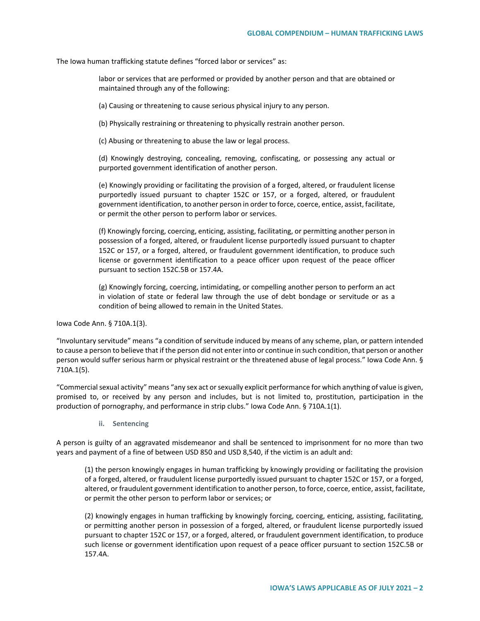The Iowa human trafficking statute defines "forced labor or services" as:

labor or services that are performed or provided by another person and that are obtained or maintained through any of the following:

(a) Causing or threatening to cause serious physical injury to any person.

(b) Physically restraining or threatening to physically restrain another person.

(c) Abusing or threatening to abuse the law or legal process.

(d) Knowingly destroying, concealing, removing, confiscating, or possessing any actual or purported government identification of another person.

(e) Knowingly providing or facilitating the provision of a forged, altered, or fraudulent license purportedly issued pursuant to chapter 152C or 157, or a forged, altered, or fraudulent government identification, to another person in order to force, coerce, entice, assist, facilitate, or permit the other person to perform labor or services.

(f) Knowingly forcing, coercing, enticing, assisting, facilitating, or permitting another person in possession of a forged, altered, or fraudulent license purportedly issued pursuant to chapter 152C or 157, or a forged, altered, or fraudulent government identification, to produce such license or government identification to a peace officer upon request of the peace officer pursuant to section 152C.5B or 157.4A.

(g) Knowingly forcing, coercing, intimidating, or compelling another person to perform an act in violation of state or federal law through the use of debt bondage or servitude or as a condition of being allowed to remain in the United States.

Iowa Code Ann. § 710A.1(3).

"Involuntary servitude" means "a condition of servitude induced by means of any scheme, plan, or pattern intended to cause a person to believe that if the person did not enter into or continue in such condition, that person or another person would suffer serious harm or physical restraint or the threatened abuse of legal process." Iowa Code Ann. § 710A.1(5).

"Commercial sexual activity" means "any sex act or sexually explicit performance for which anything of value is given, promised to, or received by any person and includes, but is not limited to, prostitution, participation in the production of pornography, and performance in strip clubs." Iowa Code Ann. § 710A.1(1).

**ii. Sentencing**

A person is guilty of an aggravated misdemeanor and shall be sentenced to imprisonment for no more than two years and payment of a fine of between USD 850 and USD 8,540, if the victim is an adult and:

(1) the person knowingly engages in human trafficking by knowingly providing or facilitating the provision of a forged, altered, or fraudulent license purportedly issued pursuant to chapter 152C or 157, or a forged, altered, or fraudulent government identification to another person, to force, coerce, entice, assist, facilitate, or permit the other person to perform labor or services; or

(2) knowingly engages in human trafficking by knowingly forcing, coercing, enticing, assisting, facilitating, or permitting another person in possession of a forged, altered, or fraudulent license purportedly issued pursuant to chapter 152C or 157, or a forged, altered, or fraudulent government identification, to produce such license or government identification upon request of a peace officer pursuant to section 152C.5B or 157.4A.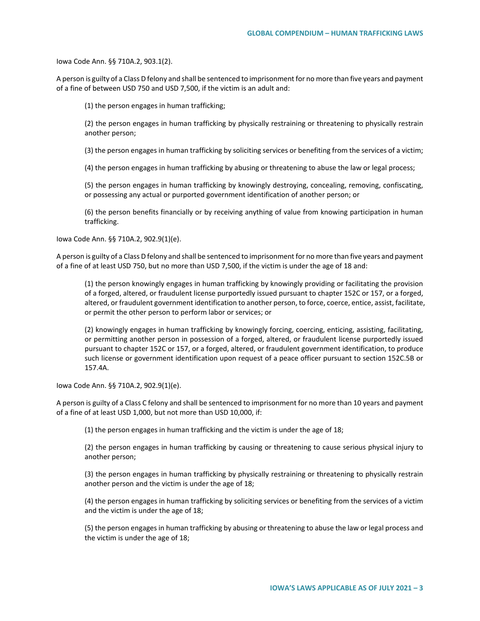Iowa Code Ann. §§ 710A.2, 903.1(2).

A person is guilty of a Class D felony and shall be sentenced to imprisonment for no more than five years and payment of a fine of between USD 750 and USD 7,500, if the victim is an adult and:

(1) the person engages in human trafficking;

(2) the person engages in human trafficking by physically restraining or threatening to physically restrain another person;

(3) the person engages in human trafficking by soliciting services or benefiting from the services of a victim;

(4) the person engages in human trafficking by abusing or threatening to abuse the law or legal process;

(5) the person engages in human trafficking by knowingly destroying, concealing, removing, confiscating, or possessing any actual or purported government identification of another person; or

(6) the person benefits financially or by receiving anything of value from knowing participation in human trafficking.

Iowa Code Ann. §§ 710A.2, 902.9(1)(e).

A person is guilty of a Class D felony and shall be sentenced to imprisonment for no more than five years and payment of a fine of at least USD 750, but no more than USD 7,500, if the victim is under the age of 18 and:

(1) the person knowingly engages in human trafficking by knowingly providing or facilitating the provision of a forged, altered, or fraudulent license purportedly issued pursuant to chapter 152C or 157, or a forged, altered, or fraudulent government identification to another person, to force, coerce, entice, assist, facilitate, or permit the other person to perform labor or services; or

(2) knowingly engages in human trafficking by knowingly forcing, coercing, enticing, assisting, facilitating, or permitting another person in possession of a forged, altered, or fraudulent license purportedly issued pursuant to chapter 152C or 157, or a forged, altered, or fraudulent government identification, to produce such license or government identification upon request of a peace officer pursuant to section 152C.5B or 157.4A.

Iowa Code Ann. §§ 710A.2, 902.9(1)(e).

A person is guilty of a Class C felony and shall be sentenced to imprisonment for no more than 10 years and payment of a fine of at least USD 1,000, but not more than USD 10,000, if:

(1) the person engages in human trafficking and the victim is under the age of 18;

(2) the person engages in human trafficking by causing or threatening to cause serious physical injury to another person;

(3) the person engages in human trafficking by physically restraining or threatening to physically restrain another person and the victim is under the age of 18;

(4) the person engages in human trafficking by soliciting services or benefiting from the services of a victim and the victim is under the age of 18;

(5) the person engages in human trafficking by abusing or threatening to abuse the law or legal process and the victim is under the age of 18;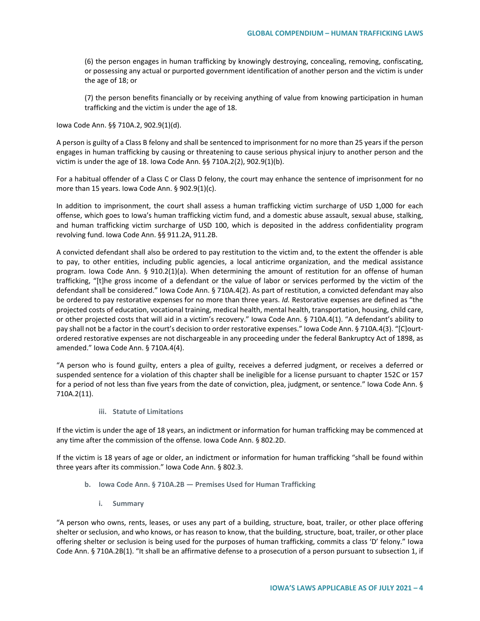(6) the person engages in human trafficking by knowingly destroying, concealing, removing, confiscating, or possessing any actual or purported government identification of another person and the victim is under the age of 18; or

(7) the person benefits financially or by receiving anything of value from knowing participation in human trafficking and the victim is under the age of 18.

Iowa Code Ann. §§ 710A.2, 902.9(1)(d).

A person is guilty of a Class B felony and shall be sentenced to imprisonment for no more than 25 years if the person engages in human trafficking by causing or threatening to cause serious physical injury to another person and the victim is under the age of 18. Iowa Code Ann. §§ 710A.2(2), 902.9(1)(b).

For a habitual offender of a Class C or Class D felony, the court may enhance the sentence of imprisonment for no more than 15 years. Iowa Code Ann. § 902.9(1)(c).

In addition to imprisonment, the court shall assess a human trafficking victim surcharge of USD 1,000 for each offense, which goes to Iowa's human trafficking victim fund, and a domestic abuse assault, sexual abuse, stalking, and human trafficking victim surcharge of USD 100, which is deposited in the address confidentiality program revolving fund. Iowa Code Ann. §§ 911.2A, 911.2B.

A convicted defendant shall also be ordered to pay restitution to the victim and, to the extent the offender is able to pay, to other entities, including public agencies, a local anticrime organization, and the medical assistance program. Iowa Code Ann. § 910.2(1)(a). When determining the amount of restitution for an offense of human trafficking, "[t]he gross income of a defendant or the value of labor or services performed by the victim of the defendant shall be considered." Iowa Code Ann. § 710A.4(2). As part of restitution, a convicted defendant may also be ordered to pay restorative expenses for no more than three years. *Id.* Restorative expenses are defined as "the projected costs of education, vocational training, medical health, mental health, transportation, housing, child care, or other projected costs that will aid in a victim's recovery." Iowa Code Ann. § 710A.4(1). "A defendant's ability to pay shall not be a factor in the court's decision to order restorative expenses." Iowa Code Ann. § 710A.4(3). "[C]ourtordered restorative expenses are not dischargeable in any proceeding under the federal Bankruptcy Act of 1898, as amended." Iowa Code Ann. § 710A.4(4).

"A person who is found guilty, enters a plea of guilty, receives a deferred judgment, or receives a deferred or suspended sentence for a violation of this chapter shall be ineligible for a license pursuant to chapter 152C or 157 for a period of not less than five years from the date of conviction, plea, judgment, or sentence." Iowa Code Ann. § 710A.2(11).

**iii. Statute of Limitations**

If the victim is under the age of 18 years, an indictment or information for human trafficking may be commenced at any time after the commission of the offense. Iowa Code Ann. § 802.2D.

If the victim is 18 years of age or older, an indictment or information for human trafficking "shall be found within three years after its commission." Iowa Code Ann. § 802.3.

- **b. Iowa Code Ann. § 710A.2B — Premises Used for Human Trafficking**
	- **i. Summary**

"A person who owns, rents, leases, or uses any part of a building, structure, boat, trailer, or other place offering shelter or seclusion, and who knows, or has reason to know, that the building, structure, boat, trailer, or other place offering shelter or seclusion is being used for the purposes of human trafficking, commits a class 'D' felony." Iowa Code Ann. § 710A.2B(1). "It shall be an affirmative defense to a prosecution of a person pursuant to subsection 1, if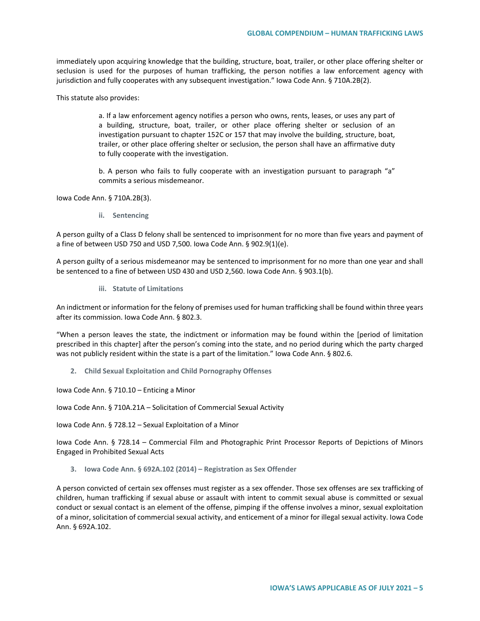immediately upon acquiring knowledge that the building, structure, boat, trailer, or other place offering shelter or seclusion is used for the purposes of human trafficking, the person notifies a law enforcement agency with jurisdiction and fully cooperates with any subsequent investigation." Iowa Code Ann. § 710A.2B(2).

This statute also provides:

a. If a law enforcement agency notifies a person who owns, rents, leases, or uses any part of a building, structure, boat, trailer, or other place offering shelter or seclusion of an investigation pursuant to chapter 152C or 157 that may involve the building, structure, boat, trailer, or other place offering shelter or seclusion, the person shall have an affirmative duty to fully cooperate with the investigation.

b. A person who fails to fully cooperate with an investigation pursuant to paragraph "a" commits a serious misdemeanor.

Iowa Code Ann. § 710A.2B(3).

**ii. Sentencing**

A person guilty of a Class D felony shall be sentenced to imprisonment for no more than five years and payment of a fine of between USD 750 and USD 7,500. Iowa Code Ann. § 902.9(1)(e).

A person guilty of a serious misdemeanor may be sentenced to imprisonment for no more than one year and shall be sentenced to a fine of between USD 430 and USD 2,560. Iowa Code Ann. § 903.1(b).

**iii. Statute of Limitations**

An indictment or information for the felony of premises used for human trafficking shall be found within three years after its commission. Iowa Code Ann. § 802.3.

"When a person leaves the state, the indictment or information may be found within the [period of limitation prescribed in this chapter] after the person's coming into the state, and no period during which the party charged was not publicly resident within the state is a part of the limitation." Iowa Code Ann. § 802.6.

**2. Child Sexual Exploitation and Child Pornography Offenses**

Iowa Code Ann. § 710.10 – Enticing a Minor

Iowa Code Ann. § 710A.21A – Solicitation of Commercial Sexual Activity

Iowa Code Ann. § 728.12 – Sexual Exploitation of a Minor

Iowa Code Ann. § 728.14 – Commercial Film and Photographic Print Processor Reports of Depictions of Minors Engaged in Prohibited Sexual Acts

**3. Iowa Code Ann. § 692A.102 (2014) – Registration as Sex Offender**

A person convicted of certain sex offenses must register as a sex offender. Those sex offenses are sex trafficking of children, human trafficking if sexual abuse or assault with intent to commit sexual abuse is committed or sexual conduct or sexual contact is an element of the offense, pimping if the offense involves a minor, sexual exploitation of a minor, solicitation of commercial sexual activity, and enticement of a minor for illegal sexual activity. Iowa Code Ann. § 692A.102.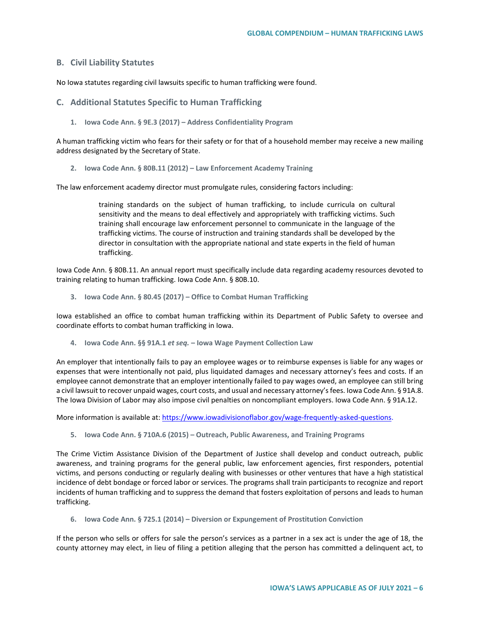# **B. Civil Liability Statutes**

No Iowa statutes regarding civil lawsuits specific to human trafficking were found.

#### **C. Additional Statutes Specific to Human Trafficking**

**1. Iowa Code Ann. § 9E.3 (2017) – Address Confidentiality Program**

A human trafficking victim who fears for their safety or for that of a household member may receive a new mailing address designated by the Secretary of State.

**2. Iowa Code Ann. § 80B.11 (2012) – Law Enforcement Academy Training**

The law enforcement academy director must promulgate rules, considering factors including:

training standards on the subject of human trafficking, to include curricula on cultural sensitivity and the means to deal effectively and appropriately with trafficking victims. Such training shall encourage law enforcement personnel to communicate in the language of the trafficking victims. The course of instruction and training standards shall be developed by the director in consultation with the appropriate national and state experts in the field of human trafficking.

Iowa Code Ann. § 80B.11. An annual report must specifically include data regarding academy resources devoted to training relating to human trafficking. Iowa Code Ann. § 80B.10.

**3. Iowa Code Ann. § 80.45 (2017) – Office to Combat Human Trafficking**

Iowa established an office to combat human trafficking within its Department of Public Safety to oversee and coordinate efforts to combat human trafficking in Iowa.

**4. Iowa Code Ann. §§ 91A.1** *et seq.* **– Iowa Wage Payment Collection Law** 

An employer that intentionally fails to pay an employee wages or to reimburse expenses is liable for any wages or expenses that were intentionally not paid, plus liquidated damages and necessary attorney's fees and costs. If an employee cannot demonstrate that an employer intentionally failed to pay wages owed, an employee can still bring a civil lawsuit to recover unpaid wages, court costs, and usual and necessary attorney's fees. Iowa Code Ann. § 91A.8. The Iowa Division of Labor may also impose civil penalties on noncompliant employers. Iowa Code Ann. § 91A.12.

More information is available at: [https://www.iowadivisionoflabor.gov/wage-frequently-asked-questions.](https://www.iowadivisionoflabor.gov/wage-frequently-asked-questions)

**5. Iowa Code Ann. § 710A.6 (2015) – Outreach, Public Awareness, and Training Programs**

The Crime Victim Assistance Division of the Department of Justice shall develop and conduct outreach, public awareness, and training programs for the general public, law enforcement agencies, first responders, potential victims, and persons conducting or regularly dealing with businesses or other ventures that have a high statistical incidence of debt bondage or forced labor or services. The programs shall train participants to recognize and report incidents of human trafficking and to suppress the demand that fosters exploitation of persons and leads to human trafficking.

**6. Iowa Code Ann. § 725.1 (2014) – Diversion or Expungement of Prostitution Conviction** 

If the person who sells or offers for sale the person's services as a partner in a sex act is under the age of 18, the county attorney may elect, in lieu of filing a petition alleging that the person has committed a delinquent act, to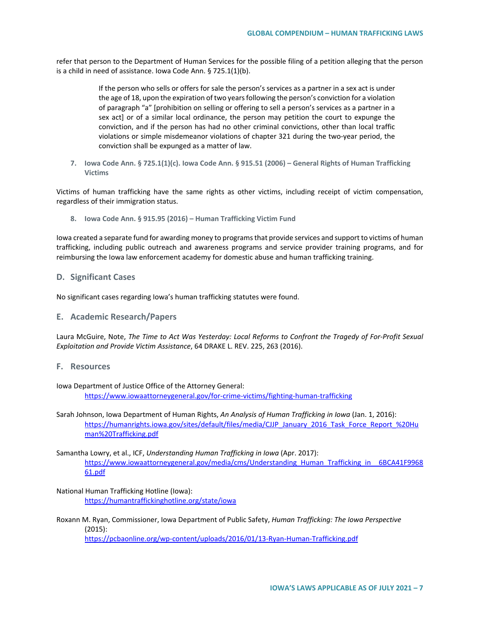refer that person to the Department of Human Services for the possible filing of a petition alleging that the person is a child in need of assistance. Iowa Code Ann. § 725.1(1)(b).

> If the person who sells or offers for sale the person's services as a partner in a sex act is under the age of 18, upon the expiration of two years following the person's conviction for a violation of paragraph "a" [prohibition on selling or offering to sell a person's services as a partner in a sex act] or of a similar local ordinance, the person may petition the court to expunge the conviction, and if the person has had no other criminal convictions, other than local traffic violations or simple misdemeanor violations of chapter 321 during the two-year period, the conviction shall be expunged as a matter of law.

**7. Iowa Code Ann. § 725.1(1)(c). Iowa Code Ann. § 915.51 (2006) – General Rights of Human Trafficking Victims**

Victims of human trafficking have the same rights as other victims, including receipt of victim compensation, regardless of their immigration status.

**8. Iowa Code Ann. § 915.95 (2016) – Human Trafficking Victim Fund**

Iowa created a separate fund for awarding money to programs that provide services and support to victims of human trafficking, including public outreach and awareness programs and service provider training programs, and for reimbursing the Iowa law enforcement academy for domestic abuse and human trafficking training.

### **D. Significant Cases**

No significant cases regarding Iowa's human trafficking statutes were found.

#### **E. Academic Research/Papers**

Laura McGuire, Note, *The Time to Act Was Yesterday: Local Reforms to Confront the Tragedy of For-Profit Sexual Exploitation and Provide Victim Assistance*, 64 DRAKE L. REV. 225, 263 (2016).

### **F. Resources**

Iowa Department of Justice Office of the Attorney General: <https://www.iowaattorneygeneral.gov/for-crime-victims/fighting-human-trafficking>

Sarah Johnson, Iowa Department of Human Rights, *An Analysis of Human Trafficking in Iowa* (Jan. 1, 2016): [https://humanrights.iowa.gov/sites/default/files/media/CJJP\\_January\\_2016\\_Task\\_Force\\_Report\\_%20Hu](https://humanrights.iowa.gov/sites/default/files/media/CJJP_January_2016_Task_Force_Report_%20Human%20Trafficking.pdf) [man%20Trafficking.pdf](https://humanrights.iowa.gov/sites/default/files/media/CJJP_January_2016_Task_Force_Report_%20Human%20Trafficking.pdf)

Samantha Lowry, et al., ICF, *Understanding Human Trafficking in Iowa* (Apr. 2017): [https://www.iowaattorneygeneral.gov/media/cms/Understanding\\_Human\\_Trafficking\\_in\\_\\_6BCA41F9968](https://www.iowaattorneygeneral.gov/media/cms/Understanding_Human_Trafficking_in__6BCA41F996861.pdf) [61.pdf](https://www.iowaattorneygeneral.gov/media/cms/Understanding_Human_Trafficking_in__6BCA41F996861.pdf)

- National Human Trafficking Hotline (Iowa): <https://humantraffickinghotline.org/state/iowa>
- Roxann M. Ryan, Commissioner, Iowa Department of Public Safety, *Human Trafficking: The Iowa Perspective* (2015): <https://pcbaonline.org/wp-content/uploads/2016/01/13-Ryan-Human-Trafficking.pdf>